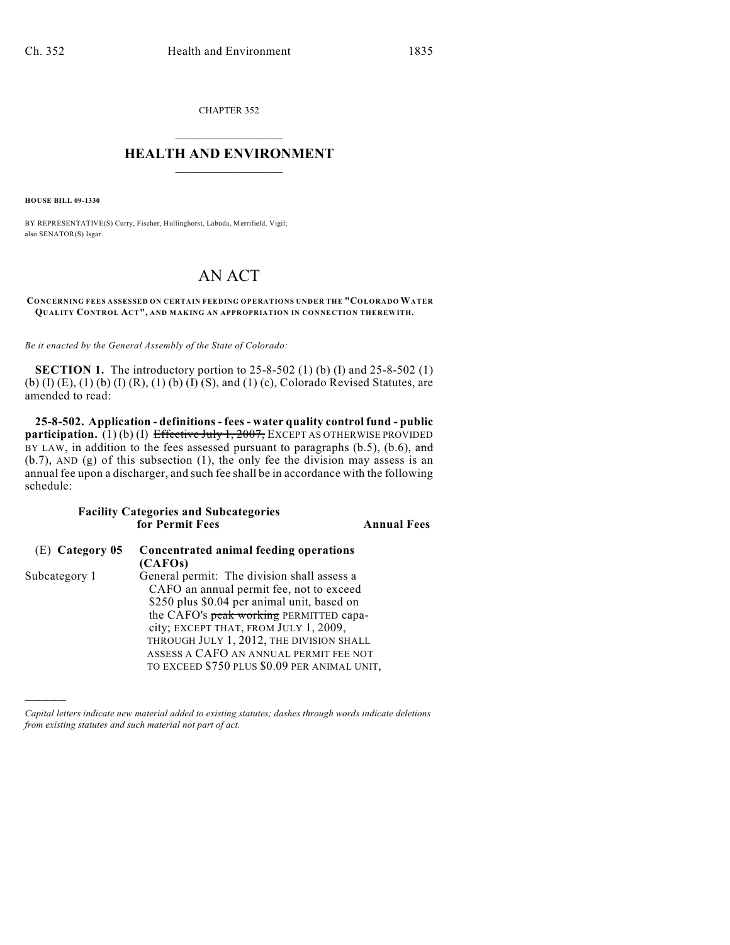CHAPTER 352  $\overline{\phantom{a}}$  . The set of the set of the set of the set of the set of the set of the set of the set of the set of the set of the set of the set of the set of the set of the set of the set of the set of the set of the set o

## **HEALTH AND ENVIRONMENT**  $\_$

**HOUSE BILL 09-1330**

)))))

BY REPRESENTATIVE(S) Curry, Fischer, Hullinghorst, Labuda, Merrifield, Vigil; also SENATOR(S) Isgar.

## AN ACT

## **CONCERNING FEES ASSESSED ON CERTAIN FEEDING OPERATIONS UNDER THE "COLORADO WATER QUALITY CONTROL ACT", AND MAKING AN APPROPRIATION IN CONNECTION THEREWITH.**

*Be it enacted by the General Assembly of the State of Colorado:*

**SECTION 1.** The introductory portion to 25-8-502 (1) (b) (I) and 25-8-502 (1) (b) (I) (E), (1) (b) (I) (R), (1) (b) (I) (S), and (1) (c), Colorado Revised Statutes, are amended to read:

**25-8-502. Application - definitions - fees - water quality control fund - public participation.** (1) (b) (I) Effective July 1, 2007, EXCEPT AS OTHERWISE PROVIDED BY LAW, in addition to the fees assessed pursuant to paragraphs  $(b.5)$ ,  $(b.6)$ , and (b.7), AND (g) of this subsection (1), the only fee the division may assess is an annual fee upon a discharger, and such fee shall be in accordance with the following schedule:

## **Facility Categories and Subcategories for Permit Fees Annual Fees**

| $(E)$ Category 05 | Concentrated animal feeding operations       |
|-------------------|----------------------------------------------|
|                   | (CAFOs)                                      |
| Subcategory 1     | General permit: The division shall assess a  |
|                   | CAFO an annual permit fee, not to exceed     |
|                   | \$250 plus \$0.04 per animal unit, based on  |
|                   | the CAFO's peak working PERMITTED capa-      |
|                   | city; EXCEPT THAT, FROM JULY 1, 2009,        |
|                   | THROUGH JULY 1, 2012, THE DIVISION SHALL     |
|                   | ASSESS A CAFO AN ANNUAL PERMIT FEE NOT       |
|                   | TO EXCEED \$750 PLUS \$0.09 PER ANIMAL UNIT, |

*Capital letters indicate new material added to existing statutes; dashes through words indicate deletions from existing statutes and such material not part of act.*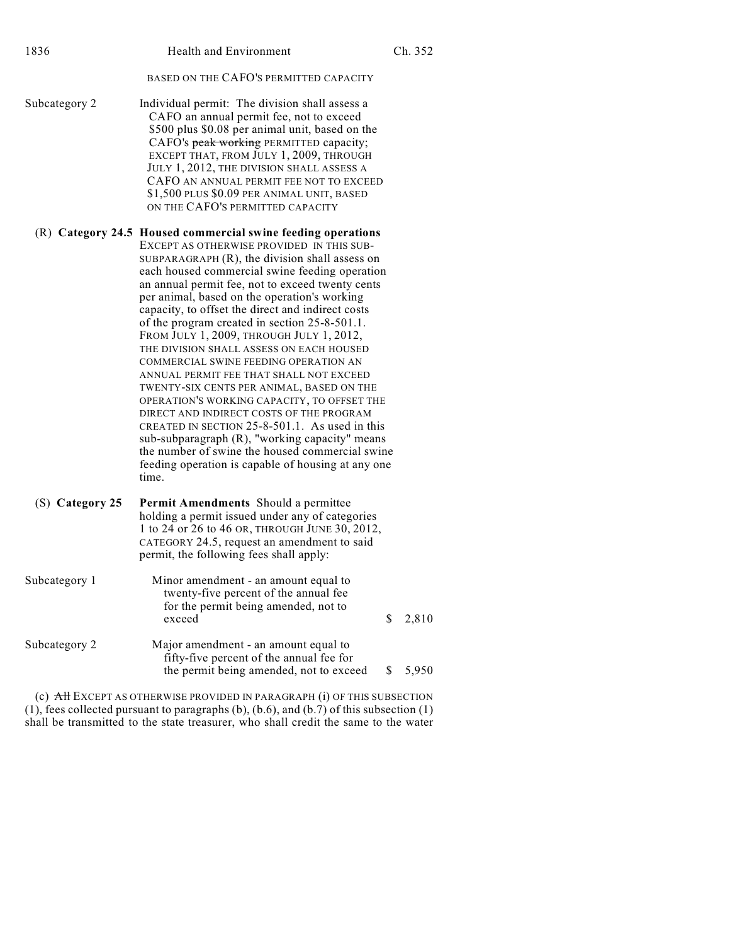| 1836            | Health and Environment                                                                                                                                                                                                                                                                                                                                                                                                                                                                                                                                                                                                                                                                                                                                                                                                                                                                                                                                               | Ch. 352     |
|-----------------|----------------------------------------------------------------------------------------------------------------------------------------------------------------------------------------------------------------------------------------------------------------------------------------------------------------------------------------------------------------------------------------------------------------------------------------------------------------------------------------------------------------------------------------------------------------------------------------------------------------------------------------------------------------------------------------------------------------------------------------------------------------------------------------------------------------------------------------------------------------------------------------------------------------------------------------------------------------------|-------------|
|                 | BASED ON THE CAFO'S PERMITTED CAPACITY                                                                                                                                                                                                                                                                                                                                                                                                                                                                                                                                                                                                                                                                                                                                                                                                                                                                                                                               |             |
| Subcategory 2   | Individual permit: The division shall assess a<br>CAFO an annual permit fee, not to exceed<br>\$500 plus \$0.08 per animal unit, based on the<br>CAFO's peak working PERMITTED capacity;<br>EXCEPT THAT, FROM JULY 1, 2009, THROUGH<br>JULY 1, 2012, THE DIVISION SHALL ASSESS A<br>CAFO AN ANNUAL PERMIT FEE NOT TO EXCEED<br>\$1,500 PLUS \$0.09 PER ANIMAL UNIT, BASED<br>ON THE CAFO'S PERMITTED CAPACITY                                                                                                                                                                                                                                                                                                                                                                                                                                                                                                                                                        |             |
|                 | (R) Category 24.5 Housed commercial swine feeding operations<br>EXCEPT AS OTHERWISE PROVIDED IN THIS SUB-<br>SUBPARAGRAPH $(R)$ , the division shall assess on<br>each housed commercial swine feeding operation<br>an annual permit fee, not to exceed twenty cents<br>per animal, based on the operation's working<br>capacity, to offset the direct and indirect costs<br>of the program created in section 25-8-501.1.<br>FROM JULY 1, 2009, THROUGH JULY 1, 2012,<br>THE DIVISION SHALL ASSESS ON EACH HOUSED<br>COMMERCIAL SWINE FEEDING OPERATION AN<br>ANNUAL PERMIT FEE THAT SHALL NOT EXCEED<br>TWENTY-SIX CENTS PER ANIMAL, BASED ON THE<br>OPERATION'S WORKING CAPACITY, TO OFFSET THE<br>DIRECT AND INDIRECT COSTS OF THE PROGRAM<br>CREATED IN SECTION 25-8-501.1. As used in this<br>sub-subparagraph (R), "working capacity" means<br>the number of swine the housed commercial swine<br>feeding operation is capable of housing at any one<br>time. |             |
| (S) Category 25 | Permit Amendments Should a permittee<br>holding a permit issued under any of categories<br>1 to 24 or 26 to 46 OR, THROUGH JUNE 30, 2012,<br>CATEGORY 24.5, request an amendment to said<br>permit, the following fees shall apply:                                                                                                                                                                                                                                                                                                                                                                                                                                                                                                                                                                                                                                                                                                                                  |             |
| Subcategory 1   | Minor amendment - an amount equal to<br>twenty-five percent of the annual fee<br>for the permit being amended, not to<br>exceed                                                                                                                                                                                                                                                                                                                                                                                                                                                                                                                                                                                                                                                                                                                                                                                                                                      | \$<br>2,810 |
| Subcategory 2   | Major amendment - an amount equal to<br>fifty-five percent of the annual fee for<br>the permit being amended, not to exceed                                                                                                                                                                                                                                                                                                                                                                                                                                                                                                                                                                                                                                                                                                                                                                                                                                          | 5,950<br>S  |
|                 | (c) $AH$ EXCEPT AS OTHERWISE PROVIDED IN PARAGRAPH (i) OF THIS SUBSECTION                                                                                                                                                                                                                                                                                                                                                                                                                                                                                                                                                                                                                                                                                                                                                                                                                                                                                            |             |

(1), fees collected pursuant to paragraphs (b), (b.6), and (b.7) of this subsection (1) shall be transmitted to the state treasurer, who shall credit the same to the water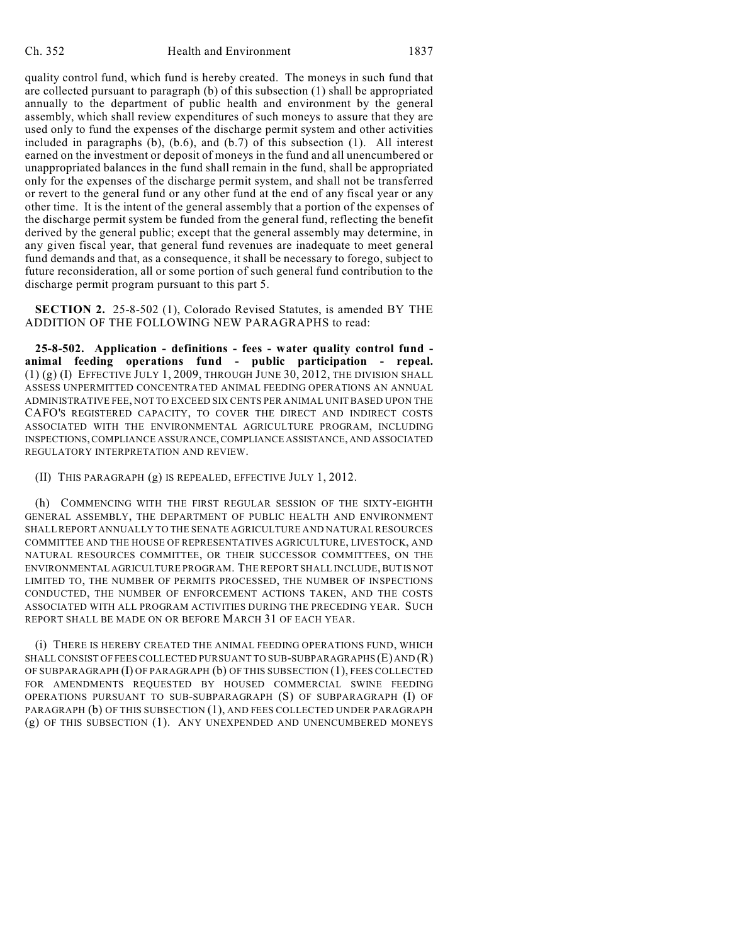quality control fund, which fund is hereby created. The moneys in such fund that are collected pursuant to paragraph (b) of this subsection (1) shall be appropriated annually to the department of public health and environment by the general assembly, which shall review expenditures of such moneys to assure that they are used only to fund the expenses of the discharge permit system and other activities included in paragraphs (b), (b.6), and (b.7) of this subsection (1). All interest earned on the investment or deposit of moneys in the fund and all unencumbered or unappropriated balances in the fund shall remain in the fund, shall be appropriated only for the expenses of the discharge permit system, and shall not be transferred or revert to the general fund or any other fund at the end of any fiscal year or any other time. It is the intent of the general assembly that a portion of the expenses of the discharge permit system be funded from the general fund, reflecting the benefit derived by the general public; except that the general assembly may determine, in any given fiscal year, that general fund revenues are inadequate to meet general fund demands and that, as a consequence, it shall be necessary to forego, subject to future reconsideration, all or some portion of such general fund contribution to the discharge permit program pursuant to this part 5.

**SECTION 2.** 25-8-502 (1), Colorado Revised Statutes, is amended BY THE ADDITION OF THE FOLLOWING NEW PARAGRAPHS to read:

**25-8-502. Application - definitions - fees - water quality control fund animal feeding operations fund - public participation - repeal.**  $(1)$   $(g)$   $(I)$  EFFECTIVE JULY 1, 2009, THROUGH JUNE 30, 2012, THE DIVISION SHALL ASSESS UNPERMITTED CONCENTRATED ANIMAL FEEDING OPERATIONS AN ANNUAL ADMINISTRATIVE FEE, NOT TO EXCEED SIX CENTS PER ANIMAL UNIT BASED UPON THE CAFO'S REGISTERED CAPACITY, TO COVER THE DIRECT AND INDIRECT COSTS ASSOCIATED WITH THE ENVIRONMENTAL AGRICULTURE PROGRAM, INCLUDING INSPECTIONS, COMPLIANCE ASSURANCE, COMPLIANCE ASSISTANCE, AND ASSOCIATED REGULATORY INTERPRETATION AND REVIEW.

(II) THIS PARAGRAPH (g) IS REPEALED, EFFECTIVE JULY 1, 2012.

(h) COMMENCING WITH THE FIRST REGULAR SESSION OF THE SIXTY-EIGHTH GENERAL ASSEMBLY, THE DEPARTMENT OF PUBLIC HEALTH AND ENVIRONMENT SHALL REPORT ANNUALLY TO THE SENATE AGRICULTURE AND NATURAL RESOURCES COMMITTEE AND THE HOUSE OF REPRESENTATIVES AGRICULTURE, LIVESTOCK, AND NATURAL RESOURCES COMMITTEE, OR THEIR SUCCESSOR COMMITTEES, ON THE ENVIRONMENTAL AGRICULTURE PROGRAM. THE REPORT SHALL INCLUDE, BUT IS NOT LIMITED TO, THE NUMBER OF PERMITS PROCESSED, THE NUMBER OF INSPECTIONS CONDUCTED, THE NUMBER OF ENFORCEMENT ACTIONS TAKEN, AND THE COSTS ASSOCIATED WITH ALL PROGRAM ACTIVITIES DURING THE PRECEDING YEAR. SUCH REPORT SHALL BE MADE ON OR BEFORE MARCH 31 OF EACH YEAR.

(i) THERE IS HEREBY CREATED THE ANIMAL FEEDING OPERATIONS FUND, WHICH SHALL CONSIST OF FEES COLLECTED PURSUANT TO SUB-SUBPARAGRAPHS (E) AND (R) OF SUBPARAGRAPH (I) OF PARAGRAPH (b) OF THIS SUBSECTION (1), FEES COLLECTED FOR AMENDMENTS REQUESTED BY HOUSED COMMERCIAL SWINE FEEDING OPERATIONS PURSUANT TO SUB-SUBPARAGRAPH (S) OF SUBPARAGRAPH (I) OF PARAGRAPH (b) OF THIS SUBSECTION (1), AND FEES COLLECTED UNDER PARAGRAPH (g) OF THIS SUBSECTION (1). ANY UNEXPENDED AND UNENCUMBERED MONEYS